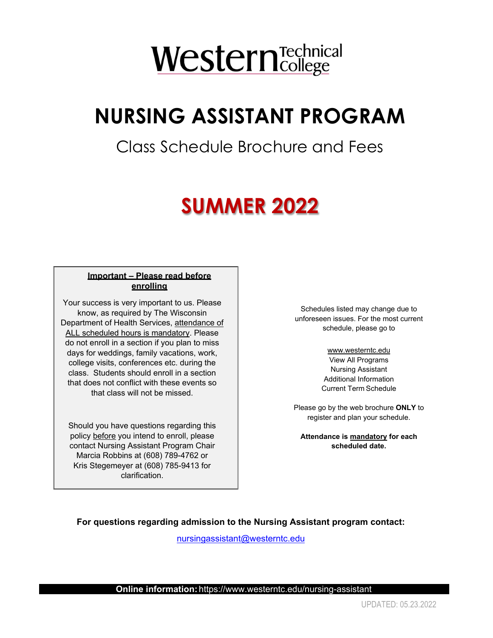# WesternTechnical

# **NURSING ASSISTANT PROGRAM**

### Class Schedule Brochure and Fees

## 2 **SUMMER 2022**

#### **Important – Please read before enrolling**

Your success is very important to us. Please know, as required by The Wisconsin Department of Health Services, attendance of ALL scheduled hours is mandatory. Please do not enroll in a section if you plan to miss days for weddings, family vacations, work, college visits, conferences etc. during the class. Students should enroll in a section that does not conflict with these events so that class will not be missed.

Should you have questions regarding this policy before you intend to enroll, please contact Nursing Assistant Program Chair Marcia Robbins at (608) 789-4762 or Kris Stegemeyer at (608) 785-9413 for clarification.

Schedules listed may change due to unforeseen issues. For the most current schedule, please go to

> <www.westerntc.edu> View All Programs Nursing Assistant Additional Information Current Term Schedule

Please go by the web brochure **ONLY** to register and plan your schedule.

**Attendance is mandatory for each scheduled date.** 

**For questions regarding admission to the Nursing Assistant program contact:** 

[nursingassistant@westerntc.edu](mailto:nursingassistant@westerntc.edu) 

 **Online information:** https://www.westerntc.edu/nursing-assistant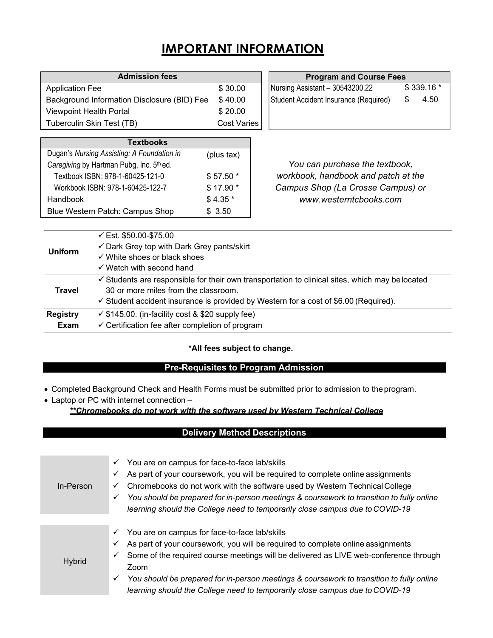### **IMPORTANT INFORMATION**

| <b>Admission fees</b>                       |                    |  |  |  |
|---------------------------------------------|--------------------|--|--|--|
| <b>Application Fee</b>                      | \$30.00            |  |  |  |
| Background Information Disclosure (BID) Fee | \$40.00            |  |  |  |
| <b>Viewpoint Health Portal</b>              | \$20.00            |  |  |  |
| Tuberculin Skin Test (TB)                   | <b>Cost Varies</b> |  |  |  |

| <b>Textbooks</b>                           |            |  |  |  |  |
|--------------------------------------------|------------|--|--|--|--|
| Dugan's Nursing Assisting: A Foundation in | (plus tax) |  |  |  |  |
| Caregiving by Hartman Pubg, Inc. 5th ed.   |            |  |  |  |  |
| Textbook ISBN: 978-1-60425-121-0           | \$57.50 *  |  |  |  |  |
| Workbook ISBN: 978-1-60425-122-7           | \$17.90 *  |  |  |  |  |
| Handbook                                   | $$4.35*$   |  |  |  |  |
| Blue Western Patch: Campus Shop            | \$3.50     |  |  |  |  |

**Program and Course Fees** 

| Nursing Assistant - 30543200.22       | \$339.16 * |      |  |
|---------------------------------------|------------|------|--|
| Student Accident Insurance (Required) |            | 4.50 |  |
|                                       |            |      |  |

*You can purchase the textbook, workbook, handbook and patch at the Campus Shop (La Crosse Campus) or <www.westerntcbooks.com>*

| <b>Uniform</b>  | ← Est. $$50.00-S75.00$                                                                          |
|-----------------|-------------------------------------------------------------------------------------------------|
|                 | $\checkmark$ Dark Grey top with Dark Grey pants/skirt                                           |
|                 | $\checkmark$ White shoes or black shoes                                                         |
|                 | $\checkmark$ Watch with second hand                                                             |
|                 | ✓ Students are responsible for their own transportation to clinical sites, which may be located |
| Travel          | 30 or more miles from the classroom.                                                            |
|                 | $\checkmark$ Student accident insurance is provided by Western for a cost of \$6.00 (Required). |
| <b>Registry</b> | $\checkmark$ \$145.00. (in-facility cost & \$20 supply fee)                                     |
| Exam            | $\checkmark$ Certification fee after completion of program                                      |

#### **\*All fees subject to change.**

#### **Pre-Requisites to Program Admission**

- Completed Background Check and Health Forms must be submitted prior to admission to the program.
- Laptop or PC with internet connection *\*\*Chromebooks do not work with the software used by Western Technical College*

#### **Delivery Method Descriptions**

| In-Person     | You are on campus for face-to-face lab/skills<br>✓<br>As part of your coursework, you will be required to complete online assignments<br>✓<br>Chromebooks do not work with the software used by Western Technical College<br>✓<br>You should be prepared for in-person meetings & coursework to transition to fully online<br>✓<br>learning should the College need to temporarily close campus due to COVID-19                   |
|---------------|-----------------------------------------------------------------------------------------------------------------------------------------------------------------------------------------------------------------------------------------------------------------------------------------------------------------------------------------------------------------------------------------------------------------------------------|
| <b>Hybrid</b> | You are on campus for face-to-face lab/skills<br>✓<br>As part of your coursework, you will be required to complete online assignments<br>✓<br>Some of the required course meetings will be delivered as LIVE web-conference through<br>✓<br>Zoom<br>You should be prepared for in-person meetings & coursework to transition to fully online<br>✓<br>learning should the College need to temporarily close campus due to COVID-19 |